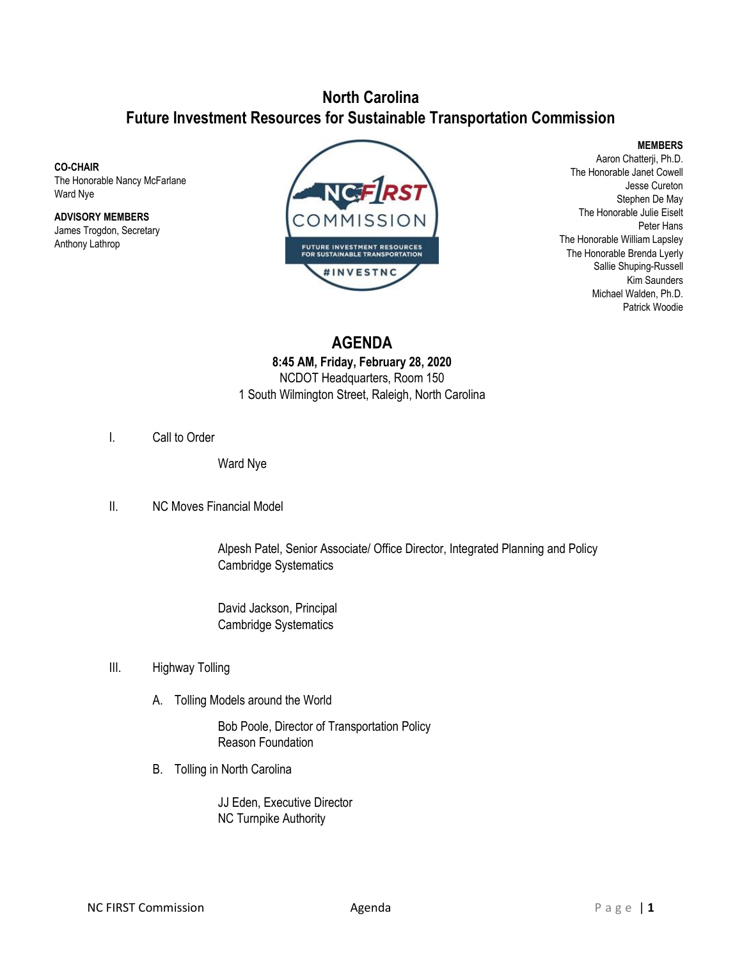## **North Carolina Future Investment Resources for Sustainable Transportation Commission**

**CO-CHAIR**

The Honorable Nancy McFarlane Ward Nye

**ADVISORY MEMBERS** James Trogdon, Secretary Anthony Lathrop



**MEMBERS**

Aaron Chatterji, Ph.D. The Honorable Janet Cowell Jesse Cureton Stephen De May The Honorable Julie Eiselt Peter Hans The Honorable William Lapsley The Honorable Brenda Lyerly Sallie Shuping-Russell Kim Saunders Michael Walden, Ph.D. Patrick Woodie

**AGENDA 8:45 AM, Friday, February 28, 2020** NCDOT Headquarters, Room 150 1 South Wilmington Street, Raleigh, North Carolina

I. Call to Order

Ward Nye

II. NC Moves Financial Model

Alpesh Patel, Senior Associate/ Office Director, Integrated Planning and Policy Cambridge Systematics

David Jackson, Principal Cambridge Systematics

- III. Highway Tolling
	- A. Tolling Models around the World

Bob Poole, Director of Transportation Policy Reason Foundation

B. Tolling in North Carolina

JJ Eden, Executive Director NC Turnpike Authority